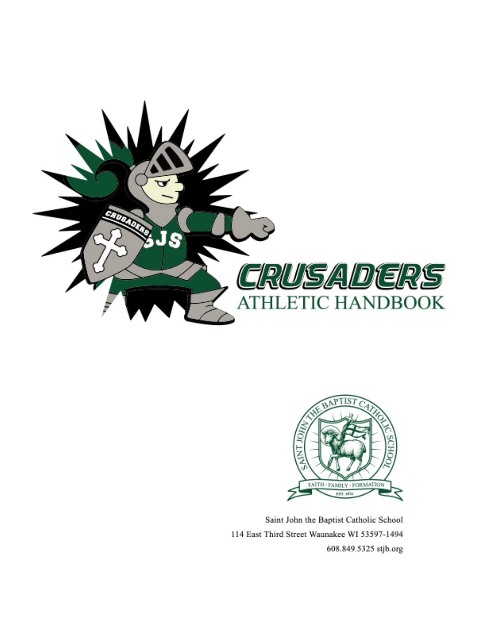



Saint John the Baptist Catholic School 114 East Third Street Waunakee WI 53597-1494 608.849.5325 stjb.org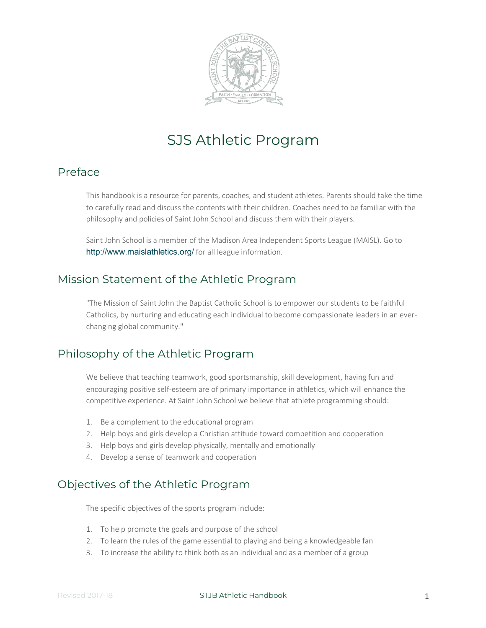

# SJS Athletic Program

#### Preface

This handbook is a resource for parents, coaches, and student athletes. Parents should take the time to carefully read and discuss the contents with their children. Coaches need to be familiar with the philosophy and policies of Saint John School and discuss them with their players.

Saint John School is a member of the Madison Area Independent Sports League (MAISL). Go to http://www.maislathletics.org/ for all league information.

#### Mission Statement of the Athletic Program

"The Mission of Saint John the Baptist Catholic School is to empower our students to be faithful Catholics, by nurturing and educating each individual to become compassionate leaders in an everchanging global community."

### Philosophy of the Athletic Program

We believe that teaching teamwork, good sportsmanship, skill development, having fun and encouraging positive self-esteem are of primary importance in athletics, which will enhance the competitive experience. At Saint John School we believe that athlete programming should:

- 1. Be a complement to the educational program
- 2. Help boys and girls develop a Christian attitude toward competition and cooperation
- 3. Help boys and girls develop physically, mentally and emotionally
- 4. Develop a sense of teamwork and cooperation

# Objectives of the Athletic Program

The specific objectives of the sports program include:

- 1. To help promote the goals and purpose of the school
- 2. To learn the rules of the game essential to playing and being a knowledgeable fan
- 3. To increase the ability to think both as an individual and as a member of a group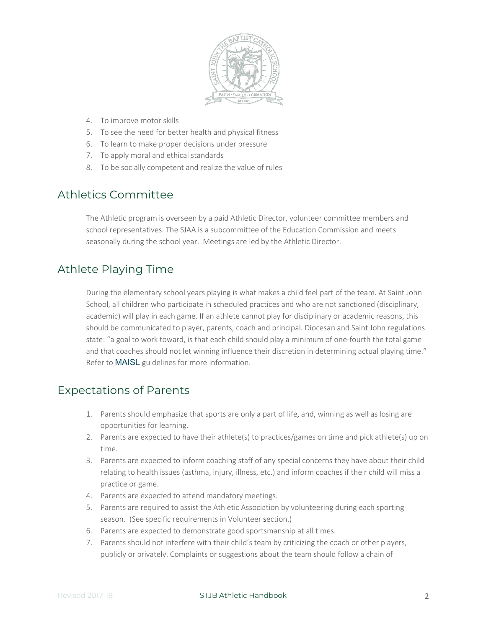

- 4. To improve motor skills
- 5. To see the need for better health and physical fitness
- 6. To learn to make proper decisions under pressure
- 7. To apply moral and ethical standards
- 8. To be socially competent and realize the value of rules

### Athletics Committee

The Athletic program is overseen by a paid Athletic Director, volunteer committee members and school representatives. The SJAA is a subcommittee of the Education Commission and meets seasonally during the school year. Meetings are led by the Athletic Director.

### Athlete Playing Time

During the elementary school years playing is what makes a child feel part of the team. At Saint John School, all children who participate in scheduled practices and who are not sanctioned (disciplinary, academic) will play in each game. If an athlete cannot play for disciplinary or academic reasons, this should be communicated to player, parents, coach and principal. Diocesan and Saint John regulations state: "a goal to work toward, is that each child should play a minimum of one-fourth the total game and that coaches should not let winning influence their discretion in determining actual playing time." Refer to MAISL guidelines for more information.

#### Expectations of Parents

- 1. Parents should emphasize that sports are only a part of life, and, winning as well as losing are opportunities for learning.
- 2. Parents are expected to have their athlete(s) to practices/games on time and pick athlete(s) up on time.
- 3. Parents are expected to inform coaching staff of any special concerns they have about their child relating to health issues (asthma, injury, illness, etc.) and inform coaches if their child will miss a practice or game.
- 4. Parents are expected to attend mandatory meetings.
- 5. Parents are required to assist the Athletic Association by volunteering during each sporting season. (See specific requirements in Volunteer section.)
- 6. Parents are expected to demonstrate good sportsmanship at all times.
- 7. Parents should not interfere with their child's team by criticizing the coach or other players, publicly or privately. Complaints or suggestions about the team should follow a chain of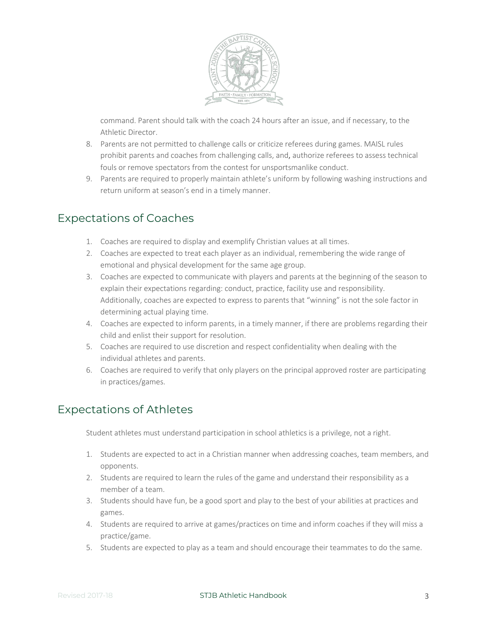

command. Parent should talk with the coach 24 hours after an issue, and if necessary, to the Athletic Director.

- 8. Parents are not permitted to challenge calls or criticize referees during games. MAISL rules prohibit parents and coaches from challenging calls, and, authorize referees to assess technical fouls or remove spectators from the contest for unsportsmanlike conduct.
- 9. Parents are required to properly maintain athlete's uniform by following washing instructions and return uniform at season's end in a timely manner.

# Expectations of Coaches

- 1. Coaches are required to display and exemplify Christian values at all times.
- 2. Coaches are expected to treat each player as an individual, remembering the wide range of emotional and physical development for the same age group.
- 3. Coaches are expected to communicate with players and parents at the beginning of the season to explain their expectations regarding: conduct, practice, facility use and responsibility. Additionally, coaches are expected to express to parents that "winning" is not the sole factor in determining actual playing time.
- 4. Coaches are expected to inform parents, in a timely manner, if there are problems regarding their child and enlist their support for resolution.
- 5. Coaches are required to use discretion and respect confidentiality when dealing with the individual athletes and parents.
- 6. Coaches are required to verify that only players on the principal approved roster are participating in practices/games.

# Expectations of Athletes

Student athletes must understand participation in school athletics is a privilege, not a right.

- 1. Students are expected to act in a Christian manner when addressing coaches, team members, and opponents.
- 2. Students are required to learn the rules of the game and understand their responsibility as a member of a team.
- 3. Students should have fun, be a good sport and play to the best of your abilities at practices and games.
- 4. Students are required to arrive at games/practices on time and inform coaches if they will miss a practice/game.
- 5. Students are expected to play as a team and should encourage their teammates to do the same.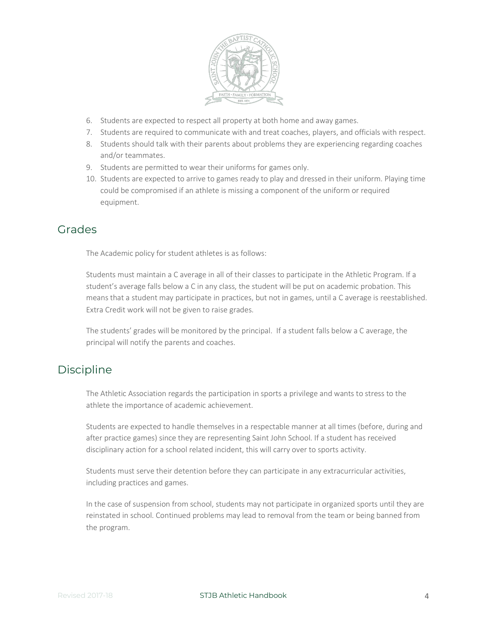

- 6. Students are expected to respect all property at both home and away games.
- 7. Students are required to communicate with and treat coaches, players, and officials with respect.
- 8. Students should talk with their parents about problems they are experiencing regarding coaches and/or teammates.
- 9. Students are permitted to wear their uniforms for games only.
- 10. Students are expected to arrive to games ready to play and dressed in their uniform. Playing time could be compromised if an athlete is missing a component of the uniform or required equipment.

### Grades

The Academic policy for student athletes is as follows:

Students must maintain a C average in all of their classes to participate in the Athletic Program. If a student's average falls below a C in any class, the student will be put on academic probation. This means that a student may participate in practices, but not in games, until a C average is reestablished. Extra Credit work will not be given to raise grades.

The students' grades will be monitored by the principal. If a student falls below a C average, the principal will notify the parents and coaches.

# **Discipline**

The Athletic Association regards the participation in sports a privilege and wants to stress to the athlete the importance of academic achievement.

Students are expected to handle themselves in a respectable manner at all times (before, during and after practice games) since they are representing Saint John School. If a student has received disciplinary action for a school related incident, this will carry over to sports activity.

Students must serve their detention before they can participate in any extracurricular activities, including practices and games.

In the case of suspension from school, students may not participate in organized sports until they are reinstated in school. Continued problems may lead to removal from the team or being banned from the program.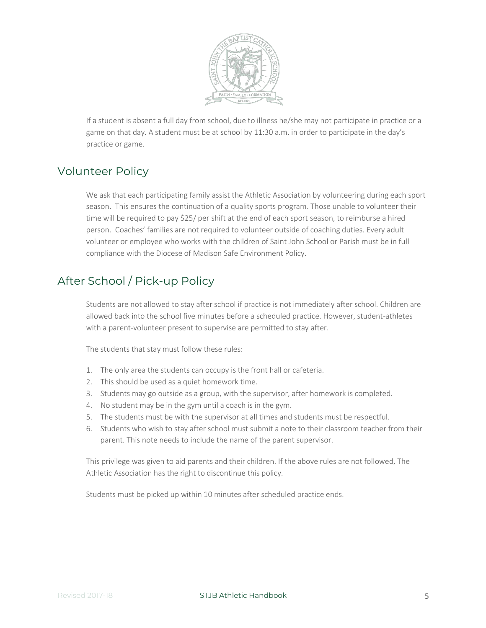

If a student is absent a full day from school, due to illness he/she may not participate in practice or a game on that day. A student must be at school by 11:30 a.m. in order to participate in the day's practice or game.

# Volunteer Policy

We ask that each participating family assist the Athletic Association by volunteering during each sport season. This ensures the continuation of a quality sports program. Those unable to volunteer their time will be required to pay \$25/ per shift at the end of each sport season, to reimburse a hired person. Coaches' families are not required to volunteer outside of coaching duties. Every adult volunteer or employee who works with the children of Saint John School or Parish must be in full compliance with the Diocese of Madison Safe Environment Policy.

# After School / Pick-up Policy

Students are not allowed to stay after school if practice is not immediately after school. Children are allowed back into the school five minutes before a scheduled practice. However, student-athletes with a parent-volunteer present to supervise are permitted to stay after.

The students that stay must follow these rules:

- 1. The only area the students can occupy is the front hall or cafeteria.
- 2. This should be used as a quiet homework time.
- 3. Students may go outside as a group, with the supervisor, after homework is completed.
- 4. No student may be in the gym until a coach is in the gym.
- 5. The students must be with the supervisor at all times and students must be respectful.
- 6. Students who wish to stay after school must submit a note to their classroom teacher from their parent. This note needs to include the name of the parent supervisor.

This privilege was given to aid parents and their children. If the above rules are not followed, The Athletic Association has the right to discontinue this policy.

Students must be picked up within 10 minutes after scheduled practice ends.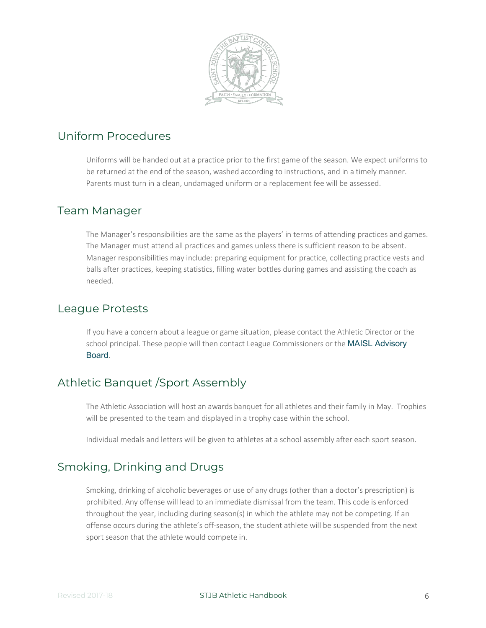

### Uniform Procedures

Uniforms will be handed out at a practice prior to the first game of the season. We expect uniforms to be returned at the end of the season, washed according to instructions, and in a timely manner. Parents must turn in a clean, undamaged uniform or a replacement fee will be assessed.

#### Team Manager

The Manager's responsibilities are the same as the players' in terms of attending practices and games. The Manager must attend all practices and games unless there is sufficient reason to be absent. Manager responsibilities may include: preparing equipment for practice, collecting practice vests and balls after practices, keeping statistics, filling water bottles during games and assisting the coach as needed.

#### League Protests

If you have a concern about a league or game situation, please contact the Athletic Director or the school principal. These people will then contact League Commissioners or the MAISL Advisory Board.

# Athletic Banquet /Sport Assembly

The Athletic Association will host an awards banquet for all athletes and their family in May. Trophies will be presented to the team and displayed in a trophy case within the school.

Individual medals and letters will be given to athletes at a school assembly after each sport season.

# Smoking, Drinking and Drugs

Smoking, drinking of alcoholic beverages or use of any drugs (other than a doctor's prescription) is prohibited. Any offense will lead to an immediate dismissal from the team. This code is enforced throughout the year, including during season(s) in which the athlete may not be competing. If an offense occurs during the athlete's off-season, the student athlete will be suspended from the next sport season that the athlete would compete in.